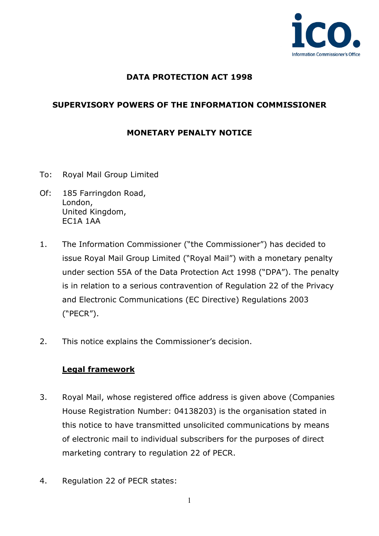

### **DATA PROTECTION ACT 1998**

## **SUPERVISORY POWERS OF THE INFORMATION COMMISSIONER**

### **MONETARY PENALTY NOTICE**

- To: Royal Mail Group Limited
- Of: 185 Farringdon Road, London, United Kingdom, EC1A 1AA
- 1. The Information Commissioner ("the Commissioner") has decided to issue Royal Mail Group Limited ("Royal Mail") with a monetary penalty under section 55A of the Data Protection Act 1998 ("DPA"). The penalty is in relation to a serious contravention of Regulation 22 of the Privacy and Electronic Communications (EC Directive) Regulations 2003 ("PECR").
- 2. This notice explains the Commissioner's decision.

#### **Legal framework**

- 3. Royal Mail, whose registered office address is given above (Companies House Registration Number: 04138203) is the organisation stated in this notice to have transmitted unsolicited communications by means of electronic mail to individual subscribers for the purposes of direct marketing contrary to regulation 22 of PECR.
- 4. Regulation 22 of PECR states: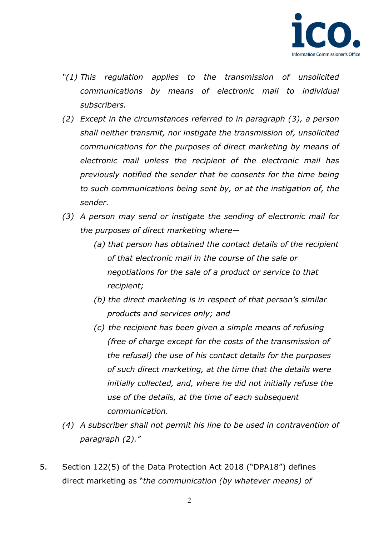

- *"(1) This regulation applies to the transmission of unsolicited communications by means of electronic mail to individual subscribers.*
- *(2) Except in the circumstances referred to in paragraph (3), a person shall neither transmit, nor instigate the transmission of, unsolicited communications for the purposes of direct marketing by means of electronic mail unless the recipient of the electronic mail has previously notified the sender that he consents for the time being to such communications being sent by, or at the instigation of, the sender.*
- *(3) A person may send or instigate the sending of electronic mail for the purposes of direct marketing where—* 
	- *(a) that person has obtained the contact details of the recipient of that electronic mail in the course of the sale or negotiations for the sale of a product or service to that recipient;*
	- *(b) the direct marketing is in respect of that person's similar products and services only; and*
	- *(c) the recipient has been given a simple means of refusing (free of charge except for the costs of the transmission of the refusal) the use of his contact details for the purposes of such direct marketing, at the time that the details were initially collected, and, where he did not initially refuse the use of the details, at the time of each subsequent communication.*
- *(4) A subscriber shall not permit his line to be used in contravention of paragraph (2)."*
- 5. Section 122(5) of the Data Protection Act 2018 ("DPA18") defines direct marketing as "*the communication (by whatever means) of*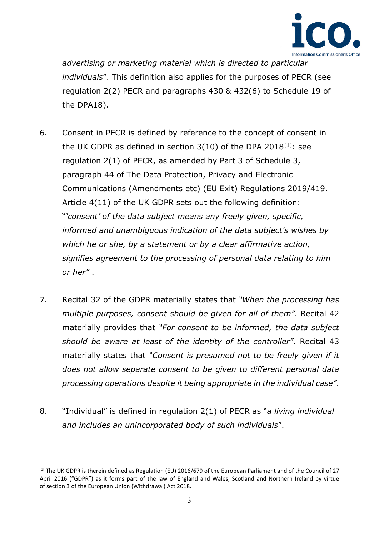

*advertising or marketing material which is directed to particular individuals*". This definition also applies for the purposes of PECR (see regulation 2(2) PECR and paragraphs 430 & 432(6) to Schedule 19 of the DPA18).

- 6. Consent in PECR is defined by reference to the concept of consent in the UK GDPR as defined in section  $3(10)$  of the DPA 2018<sup>[1]</sup>: see regulation 2(1) of PECR, as amended by Part 3 of Schedule 3, paragraph 44 of The Data Protection, Privacy and Electronic Communications (Amendments etc) (EU Exit) Regulations 2019/419. Article 4(11) of the UK GDPR sets out the following definition: "*'consent' of the data subject means any freely given, specific, informed and unambiguous indication of the data subject's wishes by which he or she, by a statement or by a clear affirmative action, signifies agreement to the processing of personal data relating to him or her"* .
- 7. Recital 32 of the GDPR materially states that *"When the processing has multiple purposes, consent should be given for all of them"*. Recital 42 materially provides that *"For consent to be informed, the data subject should be aware at least of the identity of the controller"*. Recital 43 materially states that *"Consent is presumed not to be freely given if it does not allow separate consent to be given to different personal data processing operations despite it being appropriate in the individual case"*.
- 8. "Individual" is defined in regulation 2(1) of PECR as "*a living individual and includes an unincorporated body of such individuals*".

<span id="page-2-0"></span> $^{[1]}$  The UK GDPR is therein defined as Regulation (EU) 2016/679 of the European Parliament and of the Council of 27 April 2016 ("GDPR") as it forms part of the law of England and Wales, Scotland and Northern Ireland by virtue of section 3 of the European Union (Withdrawal) Act 2018.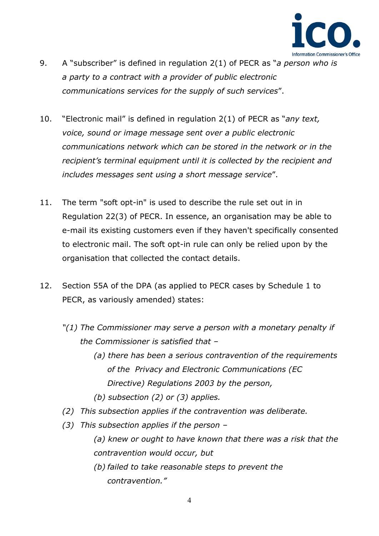

- 9. A "subscriber" is defined in regulation 2(1) of PECR as "*a person who is a party to a contract with a provider of public electronic communications services for the supply of such services*".
- 10. "Electronic mail" is defined in regulation 2(1) of PECR as "*any text, voice, sound or image message sent over a public electronic communications network which can be stored in the network or in the recipient's terminal equipment until it is collected by the recipient and includes messages sent using a short message service*".
- 11. The term "soft opt-in" is used to describe the rule set out in in Regulation 22(3) of PECR. In essence, an organisation may be able to e-mail its existing customers even if they haven't specifically consented to electronic mail. The soft opt-in rule can only be relied upon by the organisation that collected the contact details.
- 12. Section 55A of the DPA (as applied to PECR cases by Schedule 1 to PECR, as variously amended) states:
	- *"(1) The Commissioner may serve a person with a monetary penalty if the Commissioner is satisfied that –* 
		- *(a) there has been a serious contravention of the requirements of the Privacy and Electronic Communications (EC Directive) Regulations 2003 by the person,*
		- *(b) subsection (2) or (3) applies.*
	- *(2) This subsection applies if the contravention was deliberate.*
	- *(3) This subsection applies if the person* 
		- *(a) knew or ought to have known that there was a risk that the contravention would occur, but*
		- *(b) failed to take reasonable steps to prevent the contravention."*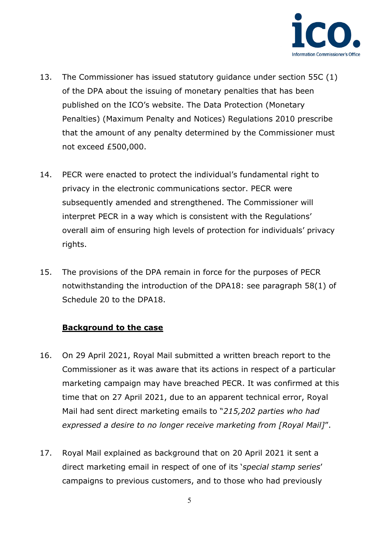

- 13. The Commissioner has issued statutory guidance under section 55C (1) of the DPA about the issuing of monetary penalties that has been published on the ICO's website. The Data Protection (Monetary Penalties) (Maximum Penalty and Notices) Regulations 2010 prescribe that the amount of any penalty determined by the Commissioner must not exceed £500,000.
- 14. PECR were enacted to protect the individual's fundamental right to privacy in the electronic communications sector. PECR were subsequently amended and strengthened. The Commissioner will interpret PECR in a way which is consistent with the Regulations' overall aim of ensuring high levels of protection for individuals' privacy rights.
- 15. The provisions of the DPA remain in force for the purposes of PECR notwithstanding the introduction of the DPA18: see paragraph 58(1) of Schedule 20 to the DPA18.

#### **Background to the case**

- 16. On 29 April 2021, Royal Mail submitted a written breach report to the Commissioner as it was aware that its actions in respect of a particular marketing campaign may have breached PECR. It was confirmed at this time that on 27 April 2021, due to an apparent technical error, Royal Mail had sent direct marketing emails to "*215,202 parties who had expressed a desire to no longer receive marketing from [Royal Mail]*".
- 17. Royal Mail explained as background that on 20 April 2021 it sent a direct marketing email in respect of one of its '*special stamp series*' campaigns to previous customers, and to those who had previously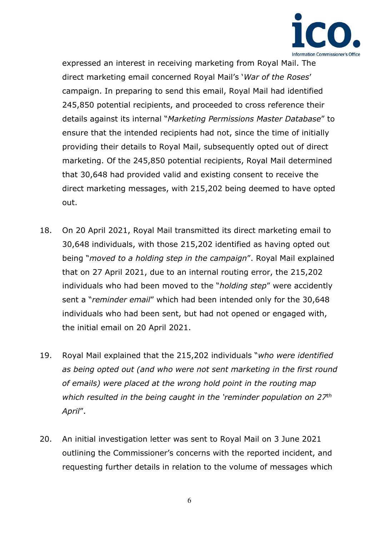

expressed an interest in receiving marketing from Royal Mail. The direct marketing email concerned Royal Mail's '*War of the Roses*' campaign. In preparing to send this email, Royal Mail had identified 245,850 potential recipients, and proceeded to cross reference their details against its internal "*Marketing Permissions Master Database*" to ensure that the intended recipients had not, since the time of initially providing their details to Royal Mail, subsequently opted out of direct marketing. Of the 245,850 potential recipients, Royal Mail determined that 30,648 had provided valid and existing consent to receive the direct marketing messages, with 215,202 being deemed to have opted out.

- 18. On 20 April 2021, Royal Mail transmitted its direct marketing email to 30,648 individuals, with those 215,202 identified as having opted out being "*moved to a holding step in the campaign*". Royal Mail explained that on 27 April 2021, due to an internal routing error, the 215,202 individuals who had been moved to the "*holding step*" were accidently sent a "*reminder email*" which had been intended only for the 30,648 individuals who had been sent, but had not opened or engaged with, the initial email on 20 April 2021.
- 19. Royal Mail explained that the 215,202 individuals "*who were identified as being opted out (and who were not sent marketing in the first round of emails) were placed at the wrong hold point in the routing map which resulted in the being caught in the 'reminder population on 27th April*".
- 20. An initial investigation letter was sent to Royal Mail on 3 June 2021 outlining the Commissioner's concerns with the reported incident, and requesting further details in relation to the volume of messages which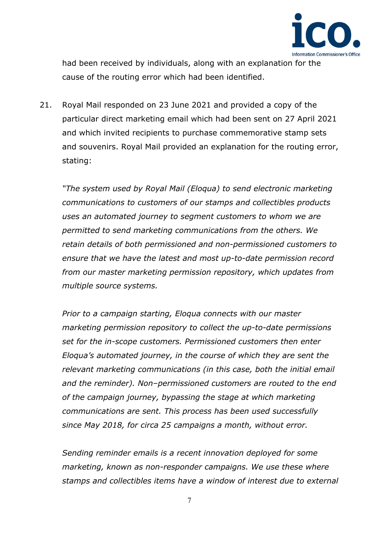

had been received by individuals, along with an explanation for the cause of the routing error which had been identified.

21. Royal Mail responded on 23 June 2021 and provided a copy of the particular direct marketing email which had been sent on 27 April 2021 and which invited recipients to purchase commemorative stamp sets and souvenirs. Royal Mail provided an explanation for the routing error, stating:

*"The system used by Royal Mail (Eloqua) to send electronic marketing communications to customers of our stamps and collectibles products uses an automated journey to segment customers to whom we are permitted to send marketing communications from the others. We retain details of both permissioned and non-permissioned customers to ensure that we have the latest and most up-to-date permission record from our master marketing permission repository, which updates from multiple source systems.* 

*Prior to a campaign starting, Eloqua connects with our master marketing permission repository to collect the up-to-date permissions set for the in-scope customers. Permissioned customers then enter Eloqua's automated journey, in the course of which they are sent the relevant marketing communications (in this case, both the initial email and the reminder). Non–permissioned customers are routed to the end of the campaign journey, bypassing the stage at which marketing communications are sent. This process has been used successfully since May 2018, for circa 25 campaigns a month, without error.* 

*Sending reminder emails is a recent innovation deployed for some marketing, known as non-responder campaigns. We use these where stamps and collectibles items have a window of interest due to external*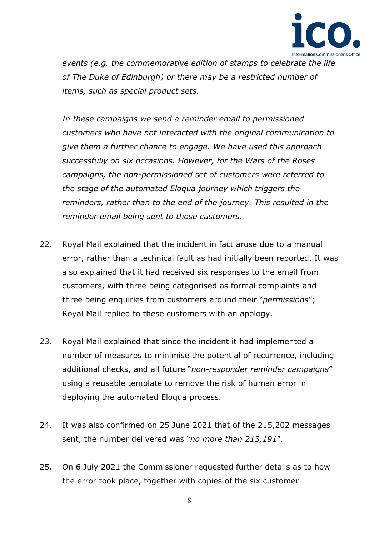

*events (e.g. the commemorative edition of stamps to celebrate the life of The Duke of Edinburgh) or there may be a restricted number of items, such as special product sets.*

*In these campaigns we send a reminder email to permissioned customers who have not interacted with the original communication to give them a further chance to engage. We have used this approach successfully on six occasions. However, for the Wars of the Roses campaigns, the non-permissioned set of customers were referred to the stage of the automated Eloqua journey which triggers the reminders, rather than to the end of the journey. This resulted in the reminder email being sent to those customers.*

- 22. Royal Mail explained that the incident in fact arose due to a manual error, rather than a technical fault as had initially been reported. It was also explained that it had received six responses to the email from customers, with three being categorised as formal complaints and three being enquiries from customers around their "*permissions*"; Royal Mail replied to these customers with an apology.
- 23. Royal Mail explained that since the incident it had implemented a number of measures to minimise the potential of recurrence, including additional checks, and all future "*non-responder reminder campaigns*" using a reusable template to remove the risk of human error in deploying the automated Eloqua process.
- 24. It was also confirmed on 25 June 2021 that of the 215,202 messages sent, the number delivered was "*no more than 213,191*".
- 25. On 6 July 2021 the Commissioner requested further details as to how the error took place, together with copies of the six customer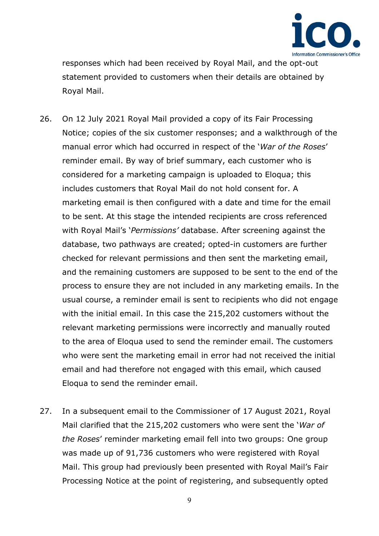

responses which had been received by Royal Mail, and the opt-out statement provided to customers when their details are obtained by Royal Mail.

- 26. On 12 July 2021 Royal Mail provided a copy of its Fair Processing Notice; copies of the six customer responses; and a walkthrough of the manual error which had occurred in respect of the '*War of the Roses*' reminder email. By way of brief summary, each customer who is considered for a marketing campaign is uploaded to Eloqua; this includes customers that Royal Mail do not hold consent for. A marketing email is then configured with a date and time for the email to be sent. At this stage the intended recipients are cross referenced with Royal Mail's '*Permissions'* database. After screening against the database, two pathways are created; opted-in customers are further checked for relevant permissions and then sent the marketing email, and the remaining customers are supposed to be sent to the end of the process to ensure they are not included in any marketing emails. In the usual course, a reminder email is sent to recipients who did not engage with the initial email. In this case the 215,202 customers without the relevant marketing permissions were incorrectly and manually routed to the area of Eloqua used to send the reminder email. The customers who were sent the marketing email in error had not received the initial email and had therefore not engaged with this email, which caused Eloqua to send the reminder email.
- 27. In a subsequent email to the Commissioner of 17 August 2021, Royal Mail clarified that the 215,202 customers who were sent the '*War of the Roses*' reminder marketing email fell into two groups: One group was made up of 91,736 customers who were registered with Royal Mail. This group had previously been presented with Royal Mail's Fair Processing Notice at the point of registering, and subsequently opted

9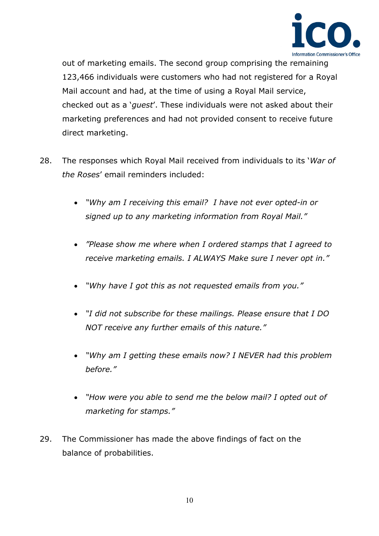

out of marketing emails. The second group comprising the remaining 123,466 individuals were customers who had not registered for a Royal Mail account and had, at the time of using a Royal Mail service, checked out as a '*guest*'. These individuals were not asked about their marketing preferences and had not provided consent to receive future direct marketing.

- 28. The responses which Royal Mail received from individuals to its '*War of the Roses*' email reminders included:
	- *"Why am I receiving this email? I have not ever opted-in or signed up to any marketing information from Royal Mail."*
	- *"Please show me where when I ordered stamps that I agreed to receive marketing emails. I ALWAYS Make sure I never opt in."*
	- *"Why have I got this as not requested emails from you."*
	- *"I did not subscribe for these mailings. Please ensure that I DO NOT receive any further emails of this nature."*
	- *"Why am I getting these emails now? I NEVER had this problem before."*
	- *"How were you able to send me the below mail? I opted out of marketing for stamps."*
- 29. The Commissioner has made the above findings of fact on the balance of probabilities.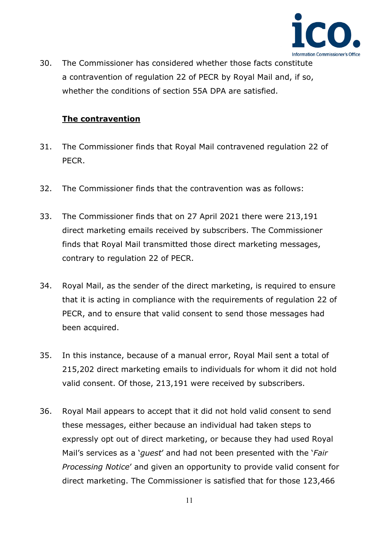

30. The Commissioner has considered whether those facts constitute a contravention of regulation 22 of PECR by Royal Mail and, if so, whether the conditions of section 55A DPA are satisfied.

### **The contravention**

- 31. The Commissioner finds that Royal Mail contravened regulation 22 of PECR.
- 32. The Commissioner finds that the contravention was as follows:
- 33. The Commissioner finds that on 27 April 2021 there were 213,191 direct marketing emails received by subscribers. The Commissioner finds that Royal Mail transmitted those direct marketing messages, contrary to regulation 22 of PECR.
- 34. Royal Mail, as the sender of the direct marketing, is required to ensure that it is acting in compliance with the requirements of regulation 22 of PECR, and to ensure that valid consent to send those messages had been acquired.
- 35. In this instance, because of a manual error, Royal Mail sent a total of 215,202 direct marketing emails to individuals for whom it did not hold valid consent. Of those, 213,191 were received by subscribers.
- 36. Royal Mail appears to accept that it did not hold valid consent to send these messages, either because an individual had taken steps to expressly opt out of direct marketing, or because they had used Royal Mail's services as a '*guest*' and had not been presented with the '*Fair Processing Notice*' and given an opportunity to provide valid consent for direct marketing. The Commissioner is satisfied that for those 123,466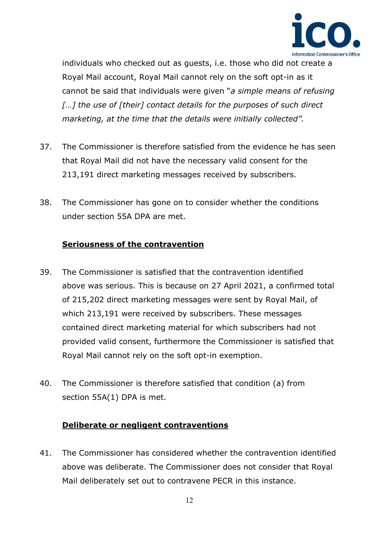

individuals who checked out as guests, i.e. those who did not create a Royal Mail account, Royal Mail cannot rely on the soft opt-in as it cannot be said that individuals were given "*a simple means of refusing*  [...] the use of [their] contact details for the purposes of such direct *marketing, at the time that the details were initially collected".* 

- 37. The Commissioner is therefore satisfied from the evidence he has seen that Royal Mail did not have the necessary valid consent for the 213,191 direct marketing messages received by subscribers.
- 38. The Commissioner has gone on to consider whether the conditions under section 55A DPA are met.

## **Seriousness of the contravention**

- 39. The Commissioner is satisfied that the contravention identified above was serious. This is because on 27 April 2021, a confirmed total of 215,202 direct marketing messages were sent by Royal Mail, of which 213,191 were received by subscribers. These messages contained direct marketing material for which subscribers had not provided valid consent, furthermore the Commissioner is satisfied that Royal Mail cannot rely on the soft opt-in exemption.
- 40. The Commissioner is therefore satisfied that condition (a) from section 55A(1) DPA is met.

#### **Deliberate or negligent contraventions**

41. The Commissioner has considered whether the contravention identified above was deliberate. The Commissioner does not consider that Royal Mail deliberately set out to contravene PECR in this instance.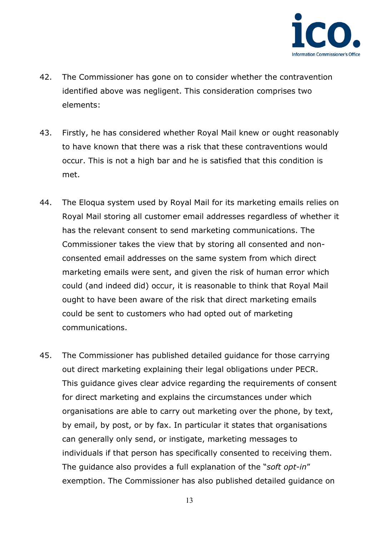

- 42. The Commissioner has gone on to consider whether the contravention identified above was negligent. This consideration comprises two elements:
- 43. Firstly, he has considered whether Royal Mail knew or ought reasonably to have known that there was a risk that these contraventions would occur. This is not a high bar and he is satisfied that this condition is met.
- 44. The Eloqua system used by Royal Mail for its marketing emails relies on Royal Mail storing all customer email addresses regardless of whether it has the relevant consent to send marketing communications. The Commissioner takes the view that by storing all consented and nonconsented email addresses on the same system from which direct marketing emails were sent, and given the risk of human error which could (and indeed did) occur, it is reasonable to think that Royal Mail ought to have been aware of the risk that direct marketing emails could be sent to customers who had opted out of marketing communications.
- 45. The Commissioner has published detailed guidance for those carrying out direct marketing explaining their legal obligations under PECR. This guidance gives clear advice regarding the requirements of consent for direct marketing and explains the circumstances under which organisations are able to carry out marketing over the phone, by text, by email, by post, or by fax. In particular it states that organisations can generally only send, or instigate, marketing messages to individuals if that person has specifically consented to receiving them. The guidance also provides a full explanation of the "*soft opt-in*" exemption. The Commissioner has also published detailed guidance on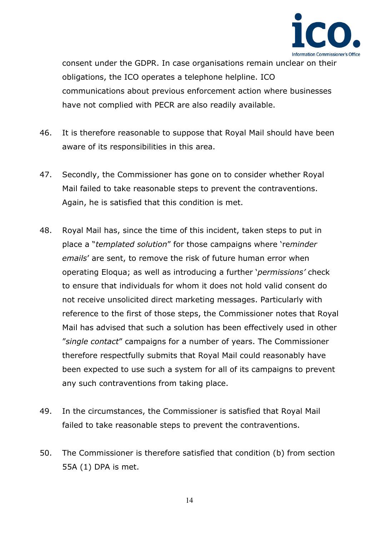

consent under the GDPR. In case organisations remain unclear on their obligations, the ICO operates a telephone helpline. ICO communications about previous enforcement action where businesses have not complied with PECR are also readily available.

- 46. It is therefore reasonable to suppose that Royal Mail should have been aware of its responsibilities in this area.
- 47. Secondly, the Commissioner has gone on to consider whether Royal Mail failed to take reasonable steps to prevent the contraventions. Again, he is satisfied that this condition is met.
- 48. Royal Mail has, since the time of this incident, taken steps to put in place a "*templated solution*" for those campaigns where 're*minder emails*' are sent, to remove the risk of future human error when operating Eloqua; as well as introducing a further '*permissions'* check to ensure that individuals for whom it does not hold valid consent do not receive unsolicited direct marketing messages. Particularly with reference to the first of those steps, the Commissioner notes that Royal Mail has advised that such a solution has been effectively used in other "*single contact*" campaigns for a number of years. The Commissioner therefore respectfully submits that Royal Mail could reasonably have been expected to use such a system for all of its campaigns to prevent any such contraventions from taking place.
- 49. In the circumstances, the Commissioner is satisfied that Royal Mail failed to take reasonable steps to prevent the contraventions.
- 50. The Commissioner is therefore satisfied that condition (b) from section 55A (1) DPA is met.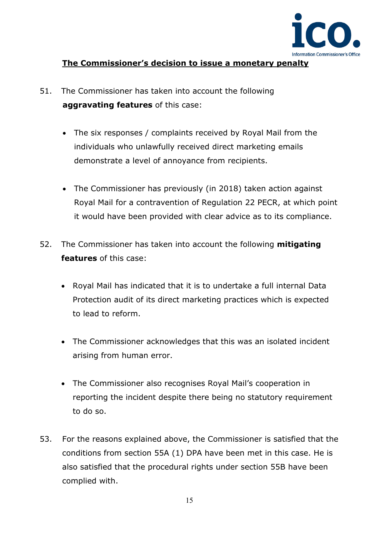

### **The Commissioner's decision to issue a monetary penalty**

- 51. The Commissioner has taken into account the following **aggravating features** of this case:
	- The six responses / complaints received by Royal Mail from the individuals who unlawfully received direct marketing emails demonstrate a level of annoyance from recipients.
	- The Commissioner has previously (in 2018) taken action against Royal Mail for a contravention of Regulation 22 PECR, at which point it would have been provided with clear advice as to its compliance.
- 52. The Commissioner has taken into account the following **mitigating features** of this case:
	- Royal Mail has indicated that it is to undertake a full internal Data Protection audit of its direct marketing practices which is expected to lead to reform.
	- The Commissioner acknowledges that this was an isolated incident arising from human error.
	- The Commissioner also recognises Royal Mail's cooperation in reporting the incident despite there being no statutory requirement to do so.
- 53. For the reasons explained above, the Commissioner is satisfied that the conditions from section 55A (1) DPA have been met in this case. He is also satisfied that the procedural rights under section 55B have been complied with.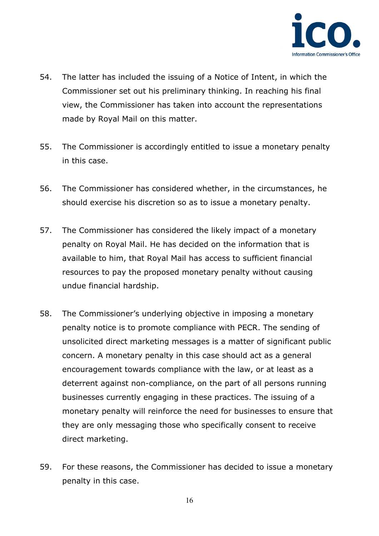

- 54. The latter has included the issuing of a Notice of Intent, in which the Commissioner set out his preliminary thinking. In reaching his final view, the Commissioner has taken into account the representations made by Royal Mail on this matter.
- 55. The Commissioner is accordingly entitled to issue a monetary penalty in this case.
- 56. The Commissioner has considered whether, in the circumstances, he should exercise his discretion so as to issue a monetary penalty.
- 57. The Commissioner has considered the likely impact of a monetary penalty on Royal Mail. He has decided on the information that is available to him, that Royal Mail has access to sufficient financial resources to pay the proposed monetary penalty without causing undue financial hardship.
- 58. The Commissioner's underlying objective in imposing a monetary penalty notice is to promote compliance with PECR. The sending of unsolicited direct marketing messages is a matter of significant public concern. A monetary penalty in this case should act as a general encouragement towards compliance with the law, or at least as a deterrent against non-compliance, on the part of all persons running businesses currently engaging in these practices. The issuing of a monetary penalty will reinforce the need for businesses to ensure that they are only messaging those who specifically consent to receive direct marketing.
- 59. For these reasons, the Commissioner has decided to issue a monetary penalty in this case.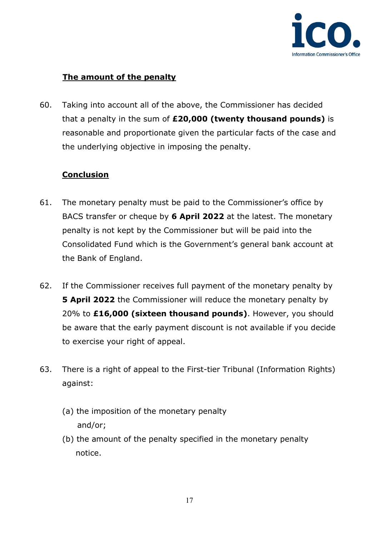

## **The amount of the penalty**

60. Taking into account all of the above, the Commissioner has decided that a penalty in the sum of **£20,000 (twenty thousand pounds)** is reasonable and proportionate given the particular facts of the case and the underlying objective in imposing the penalty.

## **Conclusion**

- 61. The monetary penalty must be paid to the Commissioner's office by BACS transfer or cheque by **6 April 2022** at the latest. The monetary penalty is not kept by the Commissioner but will be paid into the Consolidated Fund which is the Government's general bank account at the Bank of England.
- 62. If the Commissioner receives full payment of the monetary penalty by **5 April 2022** the Commissioner will reduce the monetary penalty by 20% to **£16,000 (sixteen thousand pounds)**. However, you should be aware that the early payment discount is not available if you decide to exercise your right of appeal.
- 63. There is a right of appeal to the First-tier Tribunal (Information Rights) against:
	- (a) the imposition of the monetary penalty and/or;
	- (b) the amount of the penalty specified in the monetary penalty notice.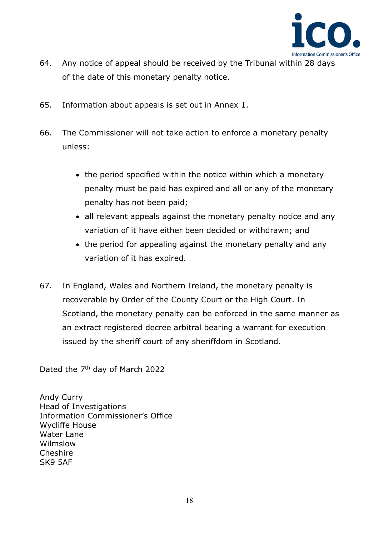

- 64. Any notice of appeal should be received by the Tribunal within 28 days of the date of this monetary penalty notice.
- 65. Information about appeals is set out in Annex 1.
- 66. The Commissioner will not take action to enforce a monetary penalty unless:
	- the period specified within the notice within which a monetary penalty must be paid has expired and all or any of the monetary penalty has not been paid;
	- all relevant appeals against the monetary penalty notice and any variation of it have either been decided or withdrawn; and
	- the period for appealing against the monetary penalty and any variation of it has expired.
- 67. In England, Wales and Northern Ireland, the monetary penalty is recoverable by Order of the County Court or the High Court. In Scotland, the monetary penalty can be enforced in the same manner as an extract registered decree arbitral bearing a warrant for execution issued by the sheriff court of any sheriffdom in Scotland.

Dated the 7<sup>th</sup> day of March 2022

Andy Curry Head of Investigations Information Commissioner's Office Wycliffe House Water Lane Wilmslow Cheshire SK9 5AF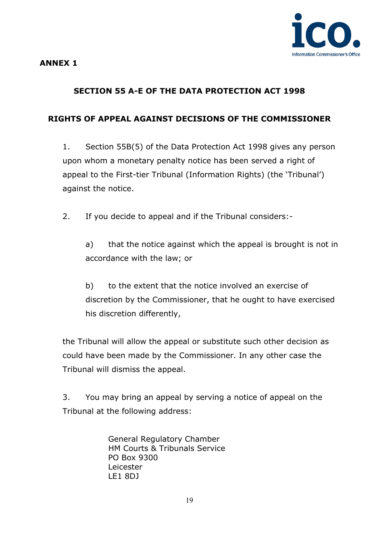#### **ANNEX 1**

# **SECTION 55 A-E OF THE DATA PROTECTION ACT 1998**

## **RIGHTS OF APPEAL AGAINST DECISIONS OF THE COMMISSIONER**

1. Section 55B(5) of the Data Protection Act 1998 gives any person upon whom a monetary penalty notice has been served a right of appeal to the First-tier Tribunal (Information Rights) (the 'Tribunal') against the notice.

2. If you decide to appeal and if the Tribunal considers:-

a) that the notice against which the appeal is brought is not in accordance with the law; or

b) to the extent that the notice involved an exercise of discretion by the Commissioner, that he ought to have exercised his discretion differently,

the Tribunal will allow the appeal or substitute such other decision as could have been made by the Commissioner. In any other case the Tribunal will dismiss the appeal.

3. You may bring an appeal by serving a notice of appeal on the Tribunal at the following address:

> General Regulatory Chamber HM Courts & Tribunals Service PO Box 9300 Leicester LE1 8DJ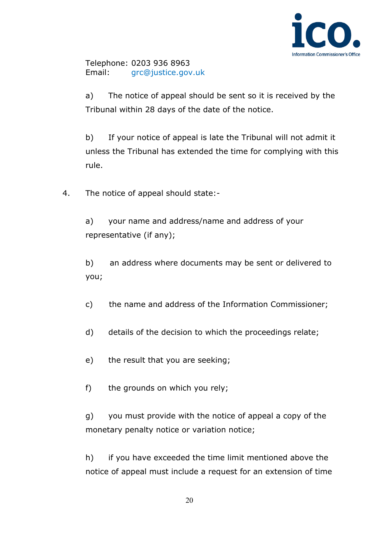

Telephone: 0203 936 8963 Email: [grc@justice.gov.uk](mailto:grc@justice.gov.uk)

a) The notice of appeal should be sent so it is received by the Tribunal within 28 days of the date of the notice.

b) If your notice of appeal is late the Tribunal will not admit it unless the Tribunal has extended the time for complying with this rule.

4. The notice of appeal should state:-

a) your name and address/name and address of your representative (if any);

b) an address where documents may be sent or delivered to you;

c) the name and address of the Information Commissioner;

- d) details of the decision to which the proceedings relate;
- e) the result that you are seeking;
- f) the grounds on which you rely;

g) you must provide with the notice of appeal a copy of the monetary penalty notice or variation notice;

h) if you have exceeded the time limit mentioned above the notice of appeal must include a request for an extension of time